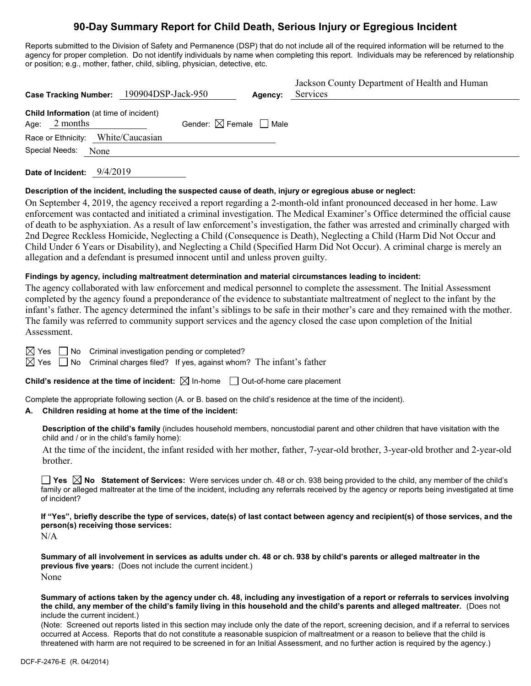# **90-Day Summary Report for Child Death, Serious Injury or Egregious Incident**

Reports submitted to the Division of Safety and Permanence (DSP) that do not include all of the required information will be returned to the agency for proper completion. Do not identify individuals by name when completing this report. Individuals may be referenced by relationship or position; e.g., mother, father, child, sibling, physician, detective, etc.

| <b>Case Tracking Number:</b>                                | 190904DSP-Jack-950                     | Agency: | Jackson County Department of Health and Human<br>Services |
|-------------------------------------------------------------|----------------------------------------|---------|-----------------------------------------------------------|
| Child Information (at time of incident)<br>2 months<br>Age: | Gender: $\boxtimes$ Female $\Box$ Male |         |                                                           |
| Race or Ethnicity: White/Caucasian                          |                                        |         |                                                           |
| Special Needs:<br>None                                      |                                        |         |                                                           |
|                                                             |                                        |         |                                                           |

**Date of Incident:** 9/4/2019

## **Description of the incident, including the suspected cause of death, injury or egregious abuse or neglect:**

On September 4, 2019, the agency received a report regarding a 2-month-old infant pronounced deceased in her home. Law enforcement was contacted and initiated a criminal investigation. The Medical Examiner's Office determined the official cause of death to be asphyxiation. As a result of law enforcement's investigation, the father was arrested and criminally charged with 2nd Degree Reckless Homicide, Neglecting a Child (Consequence is Death), Neglecting a Child (Harm Did Not Occur and Child Under 6 Years or Disability), and Neglecting a Child (Specified Harm Did Not Occur). A criminal charge is merely an allegation and a defendant is presumed innocent until and unless proven guilty.

## **Findings by agency, including maltreatment determination and material circumstances leading to incident:**

The agency collaborated with law enforcement and medical personnel to complete the assessment. The Initial Assessment completed by the agency found a preponderance of the evidence to substantiate maltreatment of neglect to the infant by the infant's father. The agency determined the infant's siblings to be safe in their mother's care and they remained with the mother. The family was referred to community support services and the agency closed the case upon completion of the Initial Assessment.

 $\boxtimes$  Yes  $\Box$  No Criminal investigation pending or completed?

 $\boxtimes$  Yes  $\Box$  No Criminal charges filed? If yes, against whom? The infant's father

**Child's residence at the time of incident:**  $\boxtimes$  In-home  $\Box$  Out-of-home care placement

Complete the appropriate following section (A. or B. based on the child's residence at the time of the incident).

## **A. Children residing at home at the time of the incident:**

**Description of the child's family** (includes household members, noncustodial parent and other children that have visitation with the child and / or in the child's family home):

At the time of the incident, the infant resided with her mother, father, 7-year-old brother, 3-year-old brother and 2-year-old brother.

**Yes No Statement of Services:** Were services under ch. 48 or ch. 938 being provided to the child, any member of the child's family or alleged maltreater at the time of the incident, including any referrals received by the agency or reports being investigated at time of incident?

**If "Yes", briefly describe the type of services, date(s) of last contact between agency and recipient(s) of those services, and the person(s) receiving those services:**

N/A

**Summary of all involvement in services as adults under ch. 48 or ch. 938 by child's parents or alleged maltreater in the previous five years:** (Does not include the current incident.) None

**Summary of actions taken by the agency under ch. 48, including any investigation of a report or referrals to services involving the child, any member of the child's family living in this household and the child's parents and alleged maltreater.** (Does not include the current incident.)

(Note: Screened out reports listed in this section may include only the date of the report, screening decision, and if a referral to services occurred at Access. Reports that do not constitute a reasonable suspicion of maltreatment or a reason to believe that the child is threatened with harm are not required to be screened in for an Initial Assessment, and no further action is required by the agency.)